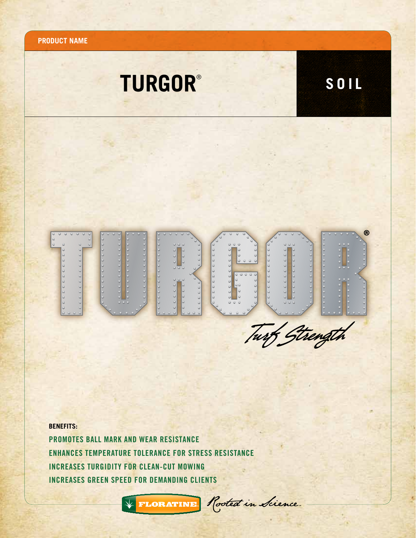

## **BENEFITS:**

Promotes ball mark and wear resistance Enhances temperature tolerance for stress resistance Increases turgidity FOR CLEAN-CUT MOWING Increases green speed FOR DEMANDING CLIENTS